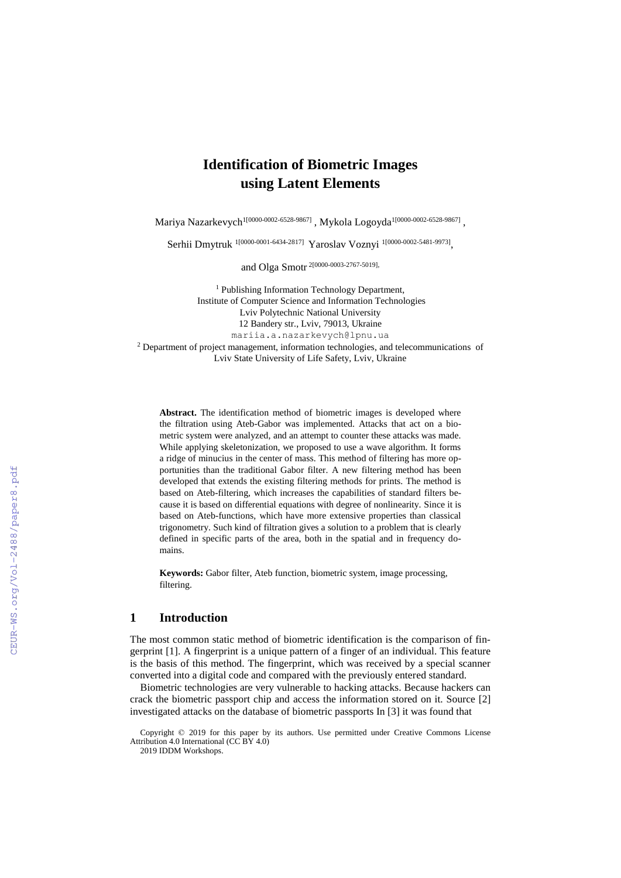# **Identification of Biometric Images using Latent Elements**

Mariya Nazarkevych<sup>1[0000-0002-6528-9867]</sup> , Mykola Logoyda<sup>1[0000-0002-6528-9867]</sup> ,

Serhii Dmytruk<sup>1[0000-0001-6434-2817]</sup> Yaroslav Voznyi<sup>1[0000-0002-5481-9973]</sup>,

and Olga Smotr 2[0000-0003-2767-5019],

<sup>1</sup> Publishing Information Technology Department, Institute of Computer Science and Information Technologies Lviv Polytechnic National University 12 Bandery str., Lviv, 79013, Ukraine [mariia.a.nazarkevych@lpnu.ua](mailto:mariia.a.nazarkevych@lpnu.ua) <sup>2</sup> Department of project management, information technologies, and telecommunications of Lviv State University of Life Safety, Lviv, Ukraine

**Abstract.** The identification method of biometric images is developed where the filtration using Ateb-Gabor was implemented. Attacks that act on a biometric system were analyzed, and an attempt to counter these attacks was made. While applying skeletonization, we proposed to use a wave algorithm. It forms a ridge of minucius in the center of mass. This method of filtering has more opportunities than the traditional Gabor filter. A new filtering method has been developed that extends the existing filtering methods for prints. The method is based on Ateb-filtering, which increases the capabilities of standard filters because it is based on differential equations with degree of nonlinearity. Since it is based on Ateb-functions, which have more extensive properties than classical trigonometry. Such kind of filtration gives a solution to a problem that is clearly defined in specific parts of the area, both in the spatial and in frequency domains.

**Keywords:** Gabor filter, Ateb function, biometric system, image processing, filtering.

#### **1 Introduction**

The most common static method of biometric identification is the comparison of fingerprint [1]. A fingerprint is a unique pattern of a finger of an individual. This feature is the basis of this method. The fingerprint, which was received by a special scanner converted into a digital code and compared with the previously entered standard.

Biometric technologies are very vulnerable to hacking attacks. Because hackers can crack the biometric passport chip and access the information stored on it. Source [2] investigated attacks on the database of biometric passports In [3] it was found that

Copyright © 2019 for this paper by its authors. Use permitted under Creative Commons License Attribution 4.0 International (CC BY 4.0)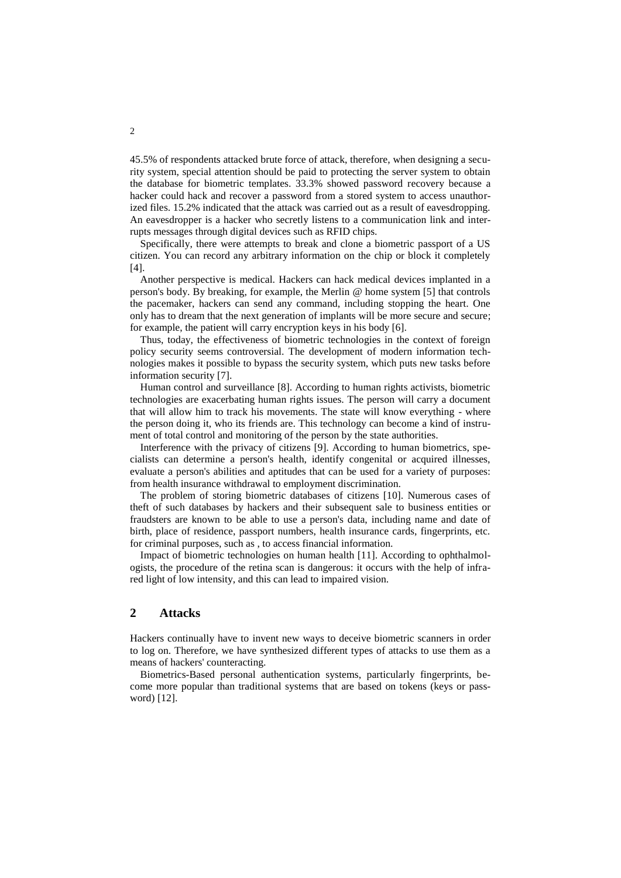45.5% of respondents attacked brute force of attack, therefore, when designing a security system, special attention should be paid to protecting the server system to obtain the database for biometric templates. 33.3% showed password recovery because a hacker could hack and recover a password from a stored system to access unauthorized files. 15.2% indicated that the attack was carried out as a result of eavesdropping. An eavesdropper is a hacker who secretly listens to a communication link and interrupts messages through digital devices such as RFID chips.

Specifically, there were attempts to break and clone a biometric passport of a US citizen. You can record any arbitrary information on the chip or block it completely [4].

Another perspective is medical. Hackers can hack medical devices implanted in a person's body. By breaking, for example, the Merlin @ home system [5] that controls the pacemaker, hackers can send any command, including stopping the heart. One only has to dream that the next generation of implants will be more secure and secure; for example, the patient will carry encryption keys in his body [6].

Thus, today, the effectiveness of biometric technologies in the context of foreign policy security seems controversial. The development of modern information technologies makes it possible to bypass the security system, which puts new tasks before information security [7].

Human control and surveillance [8]. According to human rights activists, biometric technologies are exacerbating human rights issues. The person will carry a document that will allow him to track his movements. The state will know everything - where the person doing it, who its friends are. This technology can become a kind of instrument of total control and monitoring of the person by the state authorities.

Interference with the privacy of citizens [9]. According to human biometrics, specialists can determine a person's health, identify congenital or acquired illnesses, evaluate a person's abilities and aptitudes that can be used for a variety of purposes: from health insurance withdrawal to employment discrimination.

The problem of storing biometric databases of citizens [10]. Numerous cases of theft of such databases by hackers and their subsequent sale to business entities or fraudsters are known to be able to use a person's data, including name and date of birth, place of residence, passport numbers, health insurance cards, fingerprints, etc. for criminal purposes, such as , to access financial information.

Impact of biometric technologies on human health [11]. According to ophthalmologists, the procedure of the retina scan is dangerous: it occurs with the help of infrared light of low intensity, and this can lead to impaired vision.

#### **2 Attacks**

Hackers continually have to invent new ways to deceive biometric scanners in order to log on. Therefore, we have synthesized different types of attacks to use them as a means of hackers' counteracting.

Biometrics-Based personal authentication systems, particularly fingerprints, become more popular than traditional systems that are based on tokens (keys or password) [12].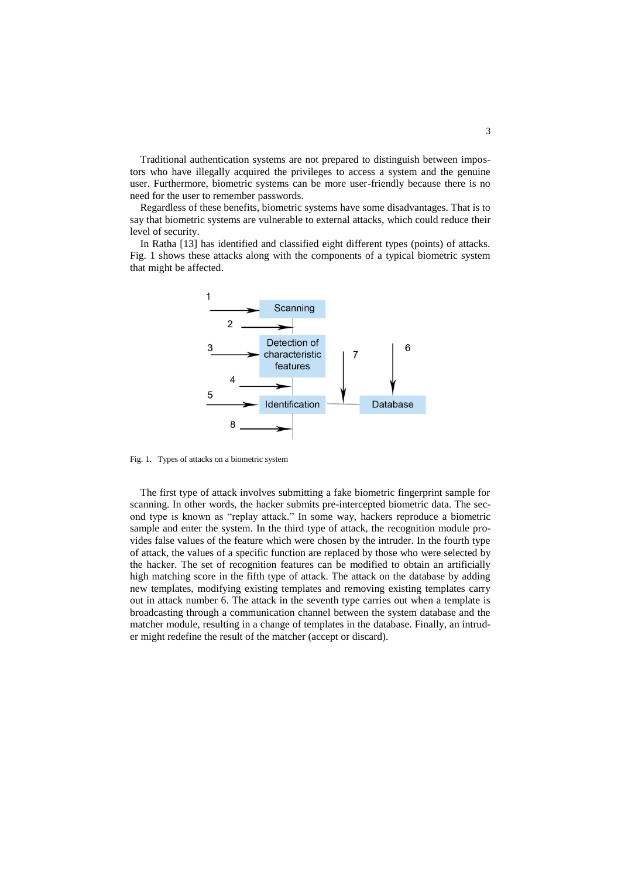Traditional authentication systems are not prepared to distinguish between impostors who have illegally acquired the privileges to access a system and the genuine user. Furthermore, biometric systems can be more user-friendly because there is no need for the user to remember passwords.

Regardless of these benefits, biometric systems have some disadvantages. That is to say that biometric systems are vulnerable to external attacks, which could reduce their level of security.

In Ratha [13] has identified and classified eight different types (points) of attacks. Fig. 1 shows these attacks along with the components of a typical biometric system that might be affected.



Fig. 1. Types of attacks on a biometric system

The first type of attack involves submitting a fake biometric fingerprint sample for scanning. In other words, the hacker submits pre-intercepted biometric data. The second type is known as "replay attack." In some way, hackers reproduce a biometric sample and enter the system. In the third type of attack, the recognition module provides false values of the feature which were chosen by the intruder. In the fourth type of attack, the values of a specific function are replaced by those who were selected by the hacker. The set of recognition features can be modified to obtain an artificially high matching score in the fifth type of attack. The attack on the database by adding new templates, modifying existing templates and removing existing templates carry out in attack number 6. The attack in the seventh type carries out when a template is broadcasting through a communication channel between the system database and the matcher module, resulting in a change of templates in the database. Finally, an intruder might redefine the result of the matcher (accept or discard).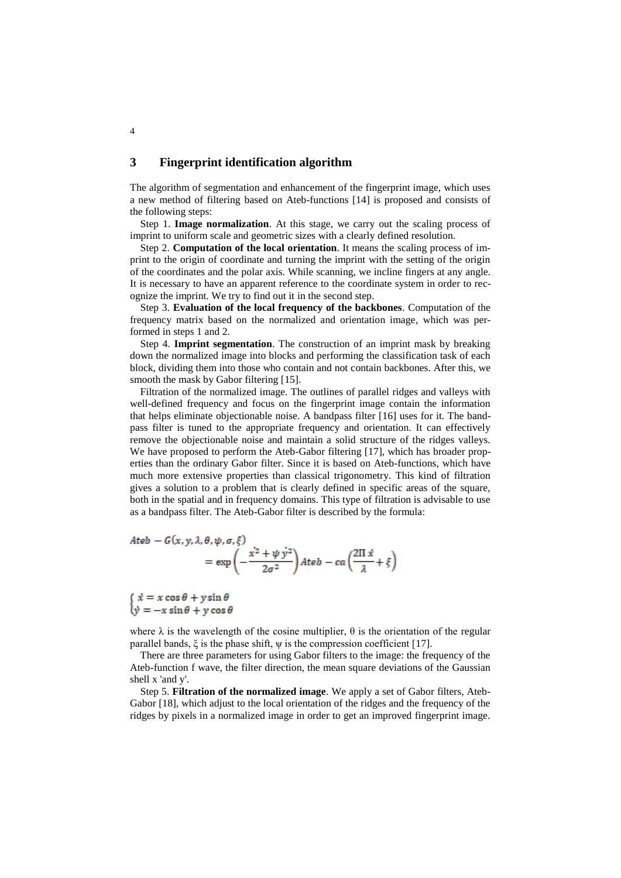## **3 Fingerprint identification algorithm**

The algorithm of segmentation and enhancement of the fingerprint image, which uses a new method of filtering based on Ateb-functions [14] is proposed and consists of the following steps:

Step 1. **Image normalization**. At this stage, we carry out the scaling process of imprint to uniform scale and geometric sizes with a clearly defined resolution.

Step 2. **Computation of the local orientation**. It means the scaling process of imprint to the origin of coordinate and turning the imprint with the setting of the origin of the coordinates and the polar axis. While scanning, we incline fingers at any angle. It is necessary to have an apparent reference to the coordinate system in order to recognize the imprint. We try to find out it in the second step.

Step 3. **Evaluation of the local frequency of the backbones**. Computation of the frequency matrix based on the normalized and orientation image, which was performed in steps 1 and 2.

Step 4. **Imprint segmentation**. The construction of an imprint mask by breaking down the normalized image into blocks and performing the classification task of each block, dividing them into those who contain and not contain backbones. After this, we smooth the mask by Gabor filtering [15].

Filtration of the normalized image. The outlines of parallel ridges and valleys with well-defined frequency and focus on the fingerprint image contain the information that helps eliminate objectionable noise. A bandpass filter [16] uses for it. The bandpass filter is tuned to the appropriate frequency and orientation. It can effectively remove the objectionable noise and maintain a solid structure of the ridges valleys. We have proposed to perform the Ateb-Gabor filtering [17], which has broader properties than the ordinary Gabor filter. Since it is based on Ateb-functions, which have much more extensive properties than classical trigonometry. This kind of filtration gives a solution to a problem that is clearly defined in specific areas of the square, both in the spatial and in frequency domains. This type of filtration is advisable to use as a bandpass filter. The Ateb-Gabor filter is described by the formula:

$$
Ateb - G(x, y, \lambda, \theta, \psi, \sigma, \xi)
$$
  
=  $\exp\left(-\frac{x^2 + \psi y^2}{2\sigma^2}\right)Ateb - ca\left(\frac{2\pi x}{\lambda} + \xi\right)$ 

 $\begin{cases} \n\dot{x} = x \cos \theta + y \sin \theta \\
\dot{y} = -x \sin \theta + y \cos \theta\n\end{cases}$ 

where  $\lambda$  is the wavelength of the cosine multiplier,  $\theta$  is the orientation of the regular parallel bands,  $\xi$  is the phase shift,  $\psi$  is the compression coefficient [17].

There are three parameters for using Gabor filters to the image: the frequency of the Ateb-function f wave, the filter direction, the mean square deviations of the Gaussian shell x 'and y'.

Step 5. **Filtration of the normalized image**. We apply a set of Gabor filters, Ateb-Gabor [18], which adjust to the local orientation of the ridges and the frequency of the ridges by pixels in a normalized image in order to get an improved fingerprint image.

4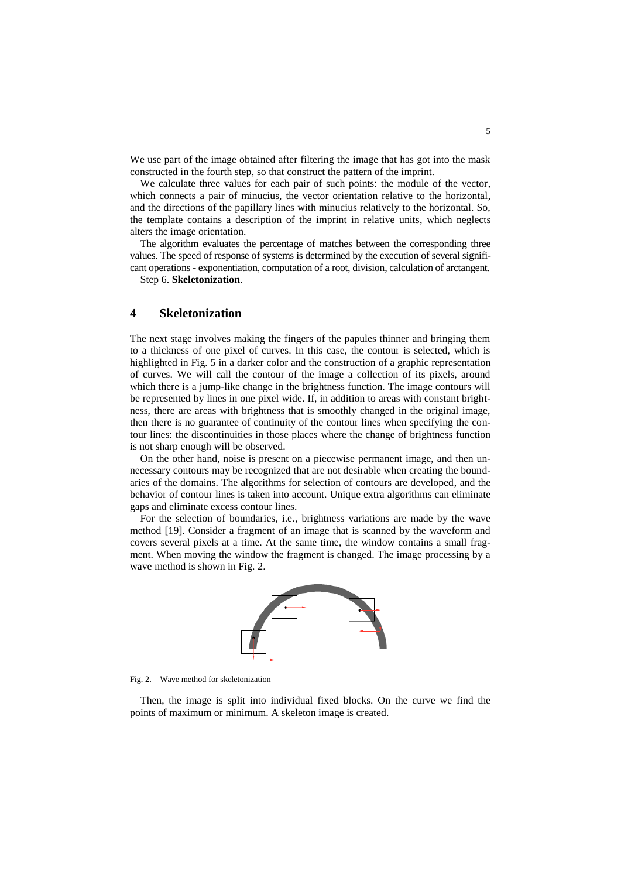We use part of the image obtained after filtering the image that has got into the mask constructed in the fourth step, so that construct the pattern of the imprint.

We calculate three values for each pair of such points: the module of the vector, which connects a pair of minucius, the vector orientation relative to the horizontal, and the directions of the papillary lines with minucius relatively to the horizontal. So, the template contains a description of the imprint in relative units, which neglects alters the image orientation.

The algorithm evaluates the percentage of matches between the corresponding three values. The speed of response of systems is determined by the execution of several significant operations - exponentiation, computation of a root, division, calculation of arctangent.

Step 6. **Skeletonization**.

## **4 Skeletonization**

The next stage involves making the fingers of the papules thinner and bringing them to a thickness of one pixel of curves. In this case, the contour is selected, which is highlighted in Fig. 5 in a darker color and the construction of a graphic representation of curves. We will call the contour of the image a collection of its pixels, around which there is a jump-like change in the brightness function. The image contours will be represented by lines in one pixel wide. If, in addition to areas with constant brightness, there are areas with brightness that is smoothly changed in the original image, then there is no guarantee of continuity of the contour lines when specifying the contour lines: the discontinuities in those places where the change of brightness function is not sharp enough will be observed.

On the other hand, noise is present on a piecewise permanent image, and then unnecessary contours may be recognized that are not desirable when creating the boundaries of the domains. The algorithms for selection of contours are developed, and the behavior of contour lines is taken into account. Unique extra algorithms can eliminate gaps and eliminate excess contour lines.

For the selection of boundaries, i.e., brightness variations are made by the wave method [19]. Consider a fragment of an image that is scanned by the waveform and covers several pixels at a time. At the same time, the window contains a small fragment. When moving the window the fragment is changed. The image processing by a wave method is shown in Fig. 2.



Fig. 2. Wave method for skeletonization

Then, the image is split into individual fixed blocks. On the curve we find the points of maximum or minimum. A skeleton image is created.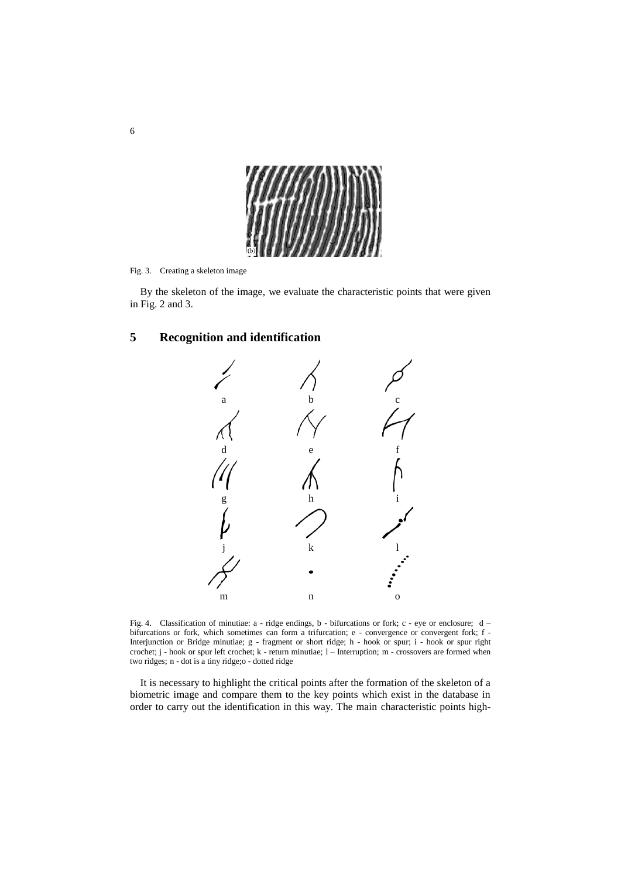

Fig. 3. Creating a skeleton image

By the skeleton of the image, we evaluate the characteristic points that were given in Fig. 2 and 3.

## **5 Recognition and identification**



Fig. 4. Classification of minutiae: a - ridge endings, b - bifurcations or fork; c - eye or enclosure; d – bifurcations or fork, which sometimes can form a trifurcation; e - convergence or convergent fork; f - Interjunction or Bridge minutiae; g - fragment or short ridge; h - hook or spur; i - hook or spur right crochet; j - hook or spur left crochet; k - return minutiae; l – Interruption; m - crossovers are formed when two ridges; n - dot is a tiny ridge;o - dotted ridge

It is necessary to highlight the critical points after the formation of the skeleton of a biometric image and compare them to the key points which exist in the database in order to carry out the identification in this way. The main characteristic points high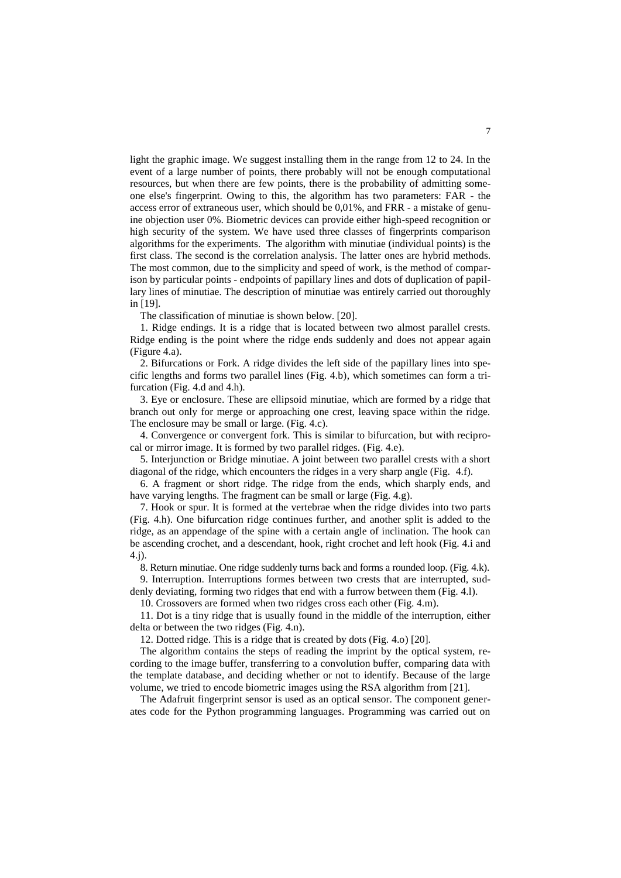light the graphic image. We suggest installing them in the range from 12 to 24. In the event of a large number of points, there probably will not be enough computational resources, but when there are few points, there is the probability of admitting someone else's fingerprint. Owing to this, the algorithm has two parameters: FAR - the access error of extraneous user, which should be 0,01%, and FRR - a mistake of genuine objection user 0%. Biometric devices can provide either high-speed recognition or high security of the system. We have used three classes of fingerprints comparison algorithms for the experiments. The algorithm with minutiae (individual points) is the first class. The second is the correlation analysis. The latter ones are hybrid methods. The most common, due to the simplicity and speed of work, is the method of comparison by particular points - endpoints of papillary lines and dots of duplication of papillary lines of minutiae. The description of minutiae was entirely carried out thoroughly in [19].

The classification of minutiae is shown below. [20].

1. Ridge endings. It is a ridge that is located between two almost parallel crests. Ridge ending is the point where the ridge ends suddenly and does not appear again (Figure 4.a).

2. Bifurcations or Fork. A ridge divides the left side of the papillary lines into specific lengths and forms two parallel lines (Fig. 4.b), which sometimes can form a trifurcation (Fig. 4.d and 4.h).

3. Eye or enclosure. These are ellipsoid minutiae, which are formed by a ridge that branch out only for merge or approaching one crest, leaving space within the ridge. The enclosure may be small or large. (Fig. 4.c).

4. Convergence or convergent fork. This is similar to bifurcation, but with reciprocal or mirror image. It is formed by two parallel ridges. (Fig. 4.e).

5. Interjunction or Bridge minutiae. A joint between two parallel crests with a short diagonal of the ridge, which encounters the ridges in a very sharp angle (Fig. 4.f).

6. A fragment or short ridge. The ridge from the ends, which sharply ends, and have varying lengths. The fragment can be small or large (Fig. 4.g).

7. Hook or spur. It is formed at the vertebrae when the ridge divides into two parts (Fig. 4.h). One bifurcation ridge continues further, and another split is added to the ridge, as an appendage of the spine with a certain angle of inclination. The hook can be ascending crochet, and a descendant, hook, right crochet and left hook (Fig. 4.i and 4.j).

8. Return minutiae. One ridge suddenly turns back and forms a rounded loop. (Fig. 4.k).

9. Interruption. Interruptions formes between two crests that are interrupted, suddenly deviating, forming two ridges that end with a furrow between them (Fig. 4.l).

10. Crossovers are formed when two ridges cross each other (Fig. 4.m).

11. Dot is a tiny ridge that is usually found in the middle of the interruption, either delta or between the two ridges (Fig. 4.n).

12. Dotted ridge. This is a ridge that is created by dots (Fig. 4.o) [20].

The algorithm contains the steps of reading the imprint by the optical system, recording to the image buffer, transferring to a convolution buffer, comparing data with the template database, and deciding whether or not to identify. Because of the large volume, we tried to encode biometric images using the RSA algorithm from [21].

The Adafruit fingerprint sensor is used as an optical sensor. The component generates code for the Python programming languages. Programming was carried out on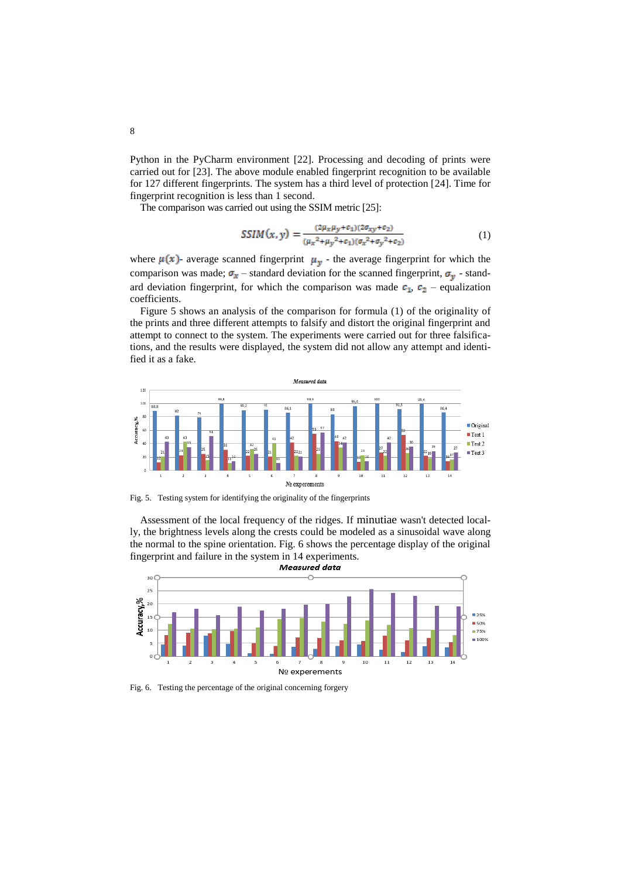Python in the PyCharm environment [22]. Processing and decoding of prints were carried out for [23]. The above module enabled fingerprint recognition to be available for 127 different fingerprints. The system has a third level of protection [24]. Time for fingerprint recognition is less than 1 second.

The comparison was carried out using the SSIM metric [25]:

$$
SSIM(x, y) = \frac{(2\mu_x \mu_y + \epsilon_1)(2\sigma_{xy} + \epsilon_2)}{(\mu_x^2 + \mu_y^2 + \epsilon_1)(\sigma_x^2 + \sigma_y^2 + \epsilon_2)}\tag{1}
$$

where  $\mu(x)$ - average scanned fingerprint  $\mu_y$ - the average fingerprint for which the comparison was made;  $\sigma_x$  – standard deviation for the scanned fingerprint,  $\sigma_y$  - standard deviation fingerprint, for which the comparison was made  $c_1$ ,  $c_2$  – equalization coefficients.

Figure 5 shows an analysis of the comparison for formula (1) of the originality of the prints and three different attempts to falsify and distort the original fingerprint and attempt to connect to the system. The experiments were carried out for three falsifications, and the results were displayed, the system did not allow any attempt and identified it as a fake.



Fig. 5. Testing system for identifying the originality of the fingerprints

Assessment of the local frequency of the ridges. If minutiae wasn't detected locally, the brightness levels along the crests could be modeled as a sinusoidal wave along the normal to the spine orientation. Fig. 6 shows the percentage display of the original fingerprint and failure in the system in 14 experiments.



Fig. 6. Testing the percentage of the original concerning forgery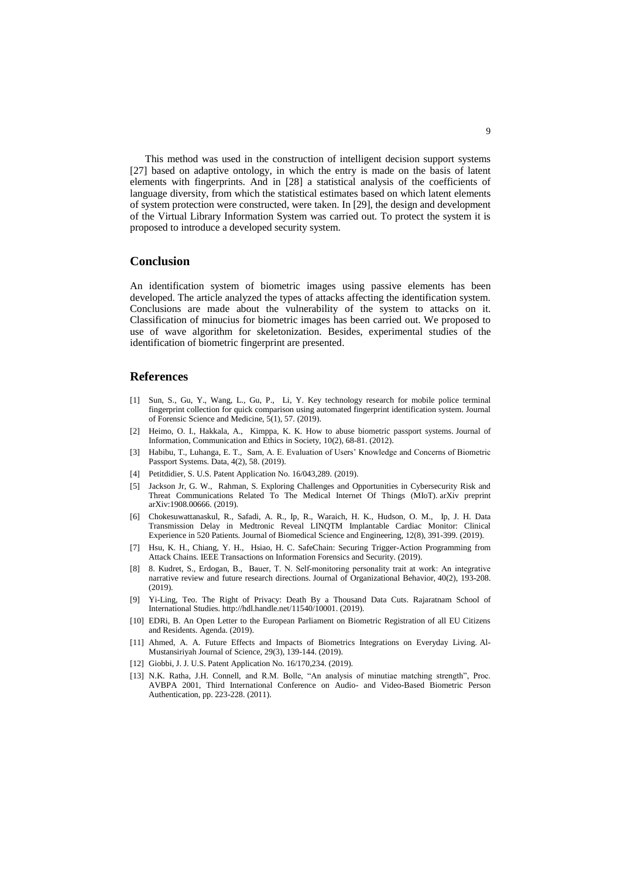This method was used in the construction of intelligent decision support systems [27] based on adaptive ontology, in which the entry is made on the basis of latent elements with fingerprints. And in [28] a statistical analysis of the coefficients of language diversity, from which the statistical estimates based on which latent elements of system protection were constructed, were taken. In [29], the design and development of the Virtual Library Information System was carried out. To protect the system it is proposed to introduce a developed security system.

#### **Conclusion**

An identification system of biometric images using passive elements has been developed. The article analyzed the types of attacks affecting the identification system. Conclusions are made about the vulnerability of the system to attacks on it. Classification of minucius for biometric images has been carried out. We proposed to use of wave algorithm for skeletonization. Besides, experimental studies of the identification of biometric fingerprint are presented.

#### **References**

- [1] Sun, S., Gu, Y., Wang, L., Gu, P., Li, Y. Key technology research for mobile police terminal fingerprint collection for quick comparison using automated fingerprint identification system. Journal of Forensic Science and Medicine, 5(1), 57. (2019).
- [2] Heimo, O. I., Hakkala, A., Kimppa, K. K. How to abuse biometric passport systems. Journal of Information, Communication and Ethics in Society, 10(2), 68-81. (2012).
- [3] Habibu, T., Luhanga, E. T., Sam, A. E. Evaluation of Users' Knowledge and Concerns of Biometric Passport Systems. Data, 4(2), 58. (2019).
- [4] Petitdidier, S. U.S. Patent Application No. 16/043,289. (2019).
- [5] Jackson Jr, G. W., Rahman, S. Exploring Challenges and Opportunities in Cybersecurity Risk and Threat Communications Related To The Medical Internet Of Things (MIoT). arXiv preprint arXiv:1908.00666. (2019).
- [6] Chokesuwattanaskul, R., Safadi, A. R., Ip, R., Waraich, H. K., Hudson, O. M., Ip, J. H. Data Transmission Delay in Medtronic Reveal LINQTM Implantable Cardiac Monitor: Clinical Experience in 520 Patients. Journal of Biomedical Science and Engineering, 12(8), 391-399. (2019).
- [7] Hsu, K. H., Chiang, Y. H., Hsiao, H. C. SafeChain: Securing Trigger-Action Programming from Attack Chains. IEEE Transactions on Information Forensics and Security. (2019).
- [8] 8. Kudret, S., Erdogan, B., Bauer, T. N. Self-monitoring personality trait at work: An integrative narrative review and future research directions. Journal of Organizational Behavior, 40(2), 193-208. (2019).
- [9] Yi-Ling, Teo. The Right of Privacy: Death By a Thousand Data Cuts. Rajaratnam School of International Studies[. http://hdl.handle.net/11540/10001.](http://hdl.handle.net/11540/10001) (2019).
- [10] EDRi, B. An Open Letter to the European Parliament on Biometric Registration of all EU Citizens and Residents. Agenda. (2019).
- [11] Ahmed, A. A. Future Effects and Impacts of Biometrics Integrations on Everyday Living. Al-Mustansiriyah Journal of Science, 29(3), 139-144. (2019).
- [12] Giobbi, J. J. U.S. Patent Application No. 16/170,234. (2019).
- [13] N.K. Ratha, J.H. Connell, and R.M. Bolle, "An analysis of minutiae matching strength", Proc. AVBPA 2001, Third International Conference on Audio- and Video-Based Biometric Person Authentication, pp. 223-228. (2011).